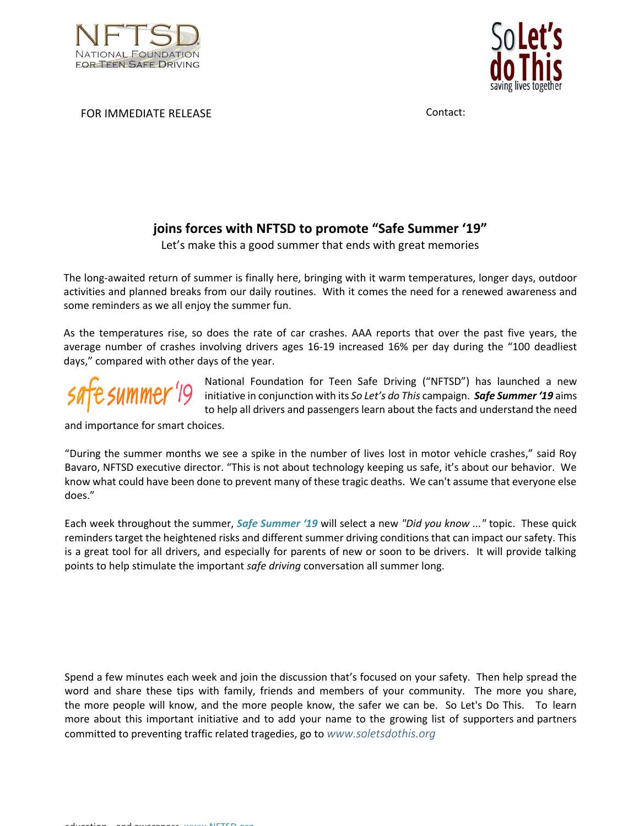



FOR IMMEDIATE RELEASE **CONTACT CONTACT** CONTACT:

## **joins forces with NFTSD to promote "Safe Summer '19"**

Let's make this a good summer that ends with great memories

The long-awaited return of summer is finally here, bringing with it warm temperatures, longer days, outdoor activities and planned breaks from our daily routines. With it comes the need for a renewed awareness and some reminders as we all enjoy the summer fun.

As the temperatures rise, so does the rate of car crashes. AAA reports that over the past five years, the average number of crashes involving drivers ages 16-19 increased 16% per day during the "100 deadliest days," compared with other days of the year.



National Foundation for Teen Safe Driving ("NFTSD") has launched a new initiative in conjunction with its *So Let's do This* campaign. *Safe Summer '19* aims to help all drivers and passengers learn about the facts and understand the need

and importance for smart choices.

"During the summer months we see a spike in the number of lives lost in motor vehicle crashes," said Roy Bavaro, NFTSD executive director. "This is not about technology keeping us safe, it's about our behavior. We know what could have been done to prevent many of these tragic deaths. We can't assume that everyone else does."

Each week throughout the summer, *[Safe Summer '19](https://www.soletsdothis.org/summer-driving)* will select a new *"Did you know ..."* topic. These quick reminders target the heightened risks and different summer driving conditions that can impact our safety. This is a great tool for all drivers, and especially for parents of new or soon to be drivers. It will provide talking points to help stimulate the important *safe driving* conversation all summer long.

Spend a few minutes each week and join the discussion that's focused on your safety. Then help spread the word and share these tips with family, friends and members of your community. The more you share, the more people will know, and the more people know, the safer we can be. So Let's Do This. To learn more about this important initiative and to add your name to the growing list of supporters and partners committed to preventing traffic related tragedies, go to *www.soletsdothis.org*